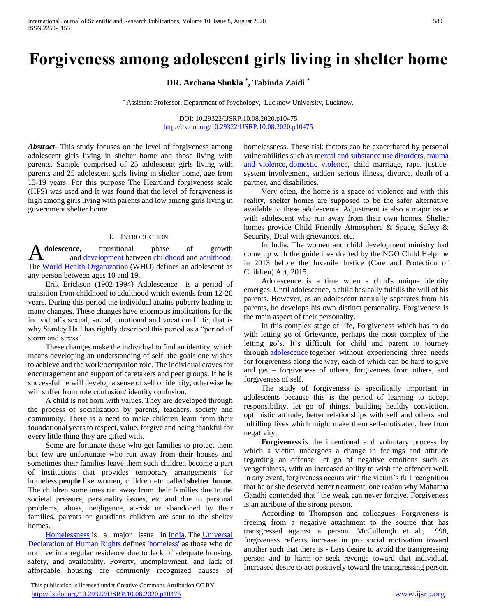# **Forgiveness among adolescent girls living in shelter home**

**DR. Archana Shukla \* , Tabinda Zaidi \***

\* Assistant Professor, Department of Psychology, Lucknow University, Lucknow.

DOI: 10.29322/IJSRP.10.08.2020.p10475 <http://dx.doi.org/10.29322/IJSRP.10.08.2020.p10475>

*Abstract***-** This study focuses on the level of forgiveness among adolescent girls living in shelter home and those living with parents. Sample comprised of 25 adolescent girls living with parents and 25 adolescent girls living in shelter home, age from 13-19 years. For this purpose The Heartland forgiveness scale (HFS) was used and It was found that the level of forgiveness is high among girls living with parents and low among girls living in government shelter home.

### I. INTRODUCTION

**dolescence**, transitional phase of growth and [development](https://www.britannica.com/science/biological-development) between [childhood](https://www.britannica.com/science/childhood) and [adulthood.](https://www.britannica.com/science/adulthood)  The [World Health Organization](https://www.britannica.com/topic/World-Health-Organization) (WHO) defines an adolescent as any person between ages 10 and 19. A

 Erik Erickson (1902-1994) Adolescence is a period of transition from childhood to adulthood which extends from 12-20 years. During this period the individual attains puberty leading to many changes. These changes have enormous implications for the individual's sexual, social, emotional and vocational life; that is why Stanley Hall has rightly described this period as a "period of storm and stress".

 These changes make the individual to find an identity, which means developing an understanding of self, the goals one wishes to achieve and the work/occupation role. The individual craves for encouragement and support of caretakers and peer groups. If he is successful he will develop a sense of self or identity, otherwise he will suffer from role confusion/ identity confusion.

 A child is not born with values. They are developed through the process of socialization by parents, teachers, society and community**.** There is a need to make children learn from their foundational years to respect, value, forgive and being thankful for every little thing they are gifted with.

 Some are fortunate those who get families to protect them but few are unfortunate who run away from their houses and sometimes their families leave them such children become a part of institutions that provides temporary arrangements for homeless **people** like women, children etc called **shelter home.**  The children sometimes run away from their families due to the societal pressure, personality issues, etc and due to personal problems, abuse, negligence, at-risk or abandoned by their families, parents or guardians children are sent to the shelter homes.

[Homelessness](https://en.wikipedia.org/wiki/Homelessness) is a major issue in [India.](https://en.wikipedia.org/wiki/India) The Universal [Declaration of Human Rights](https://en.wikipedia.org/wiki/Universal_Declaration_of_Human_Rights) defines ['homeless'](https://en.wikipedia.org/wiki/Homelessness) as those who do not live in a regular residence due to lack of adequate housing, safety, and availability. Poverty, unemployment, and lack of affordable housing are commonly recognized causes of

 This publication is licensed under Creative Commons Attribution CC BY. <http://dx.doi.org/10.29322/IJSRP.10.08.2020.p10475> [www.ijsrp.org](http://ijsrp.org/)

homelessness. These risk factors can be exacerbated by personal vulnerabilities such as [mental and substance use disorders,](https://www.samhsa.gov/disorders) [trauma](https://www.samhsa.gov/trauma-violence)  [and violence,](https://www.samhsa.gov/trauma-violence) [domestic violence,](https://www.samhsa.gov/homelessness-programs-resources/hpr-resources/domestic-violence-homelessness) child marriage, rape, justicesystem involvement, sudden serious illness, divorce, death of a partner, and disabilities.

 Very often, the home is a space of violence and with this reality, shelter homes are supposed to be the safer alternative available to these adolescents. Adjustment is also a major issue with adolescent who run away from their own homes. Shelter homes provide Child Friendly Atmosphere & Space, Safety & Security, Deal with grievances, etc.

 In India, The women and child development ministry had come up with the guidelines drafted by the NGO Child Helpline in 2013 before the Juvenile Justice (Care and Protection of Children) Act, 2015.

 Adolescence is a time when a child's unique identity emerges. Until adolescence, a child basically fulfills the will of his parents. However, as an adolescent naturally separates from his parents, he develops his own distinct personality. Forgiveness is the main aspect of their personality.

 In this complex stage of life, Forgiveness which has to do with letting go of Grievance, perhaps the most complex of the letting go's. It's difficult for child and parent to journey through [adolescence](https://www.psychologytoday.com/intl/basics/adolescence) together without experiencing three needs for forgiveness along the way, each of which can be hard to give and get – forgiveness of others, forgiveness from others, and forgiveness of self.

 The study of forgiveness is specifically important in adolescents because this is the period of learning to accept responsibility, let go of things, building healthy conviction, optimistic attitude, better relationships with self and others and fulfilling lives which might make them self-motivated, free from negativity.

 **Forgiveness** is the intentional and voluntary process by which a victim undergoes a change in feelings and attitude regarding an offense, let go of negative emotions such as vengefulness, with an increased ability to wish the offender well. In any event, forgiveness occurs with the victim's full recognition that he or she deserved better treatment, one reason why Mahatma Gandhi contended that "the weak can never forgive. Forgiveness is an attribute of the strong person.

 According to Thompson and colleagues, Forgiveness is freeing from a negative attachment to the source that has transgressed against a person. McCullough et al., 1998, forgiveness reflects increase in pro social motivation toward another such that there is - Less desire to avoid the transgressing person and to harm or seek revenge toward that individual, Increased desire to act positively toward the transgressing person.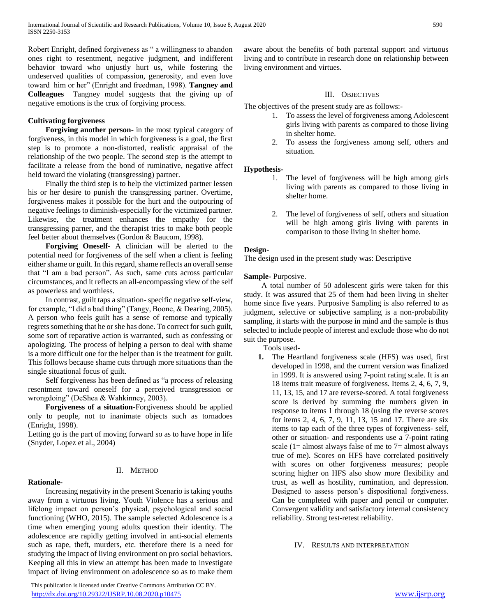Robert Enright, defined forgiveness as " a willingness to abandon ones right to resentment, negative judgment, and indifferent behavior toward who unjustly hurt us, while fostering the undeserved qualities of compassion, generosity, and even love toward him or her" (Enright and freedman, 1998). **Tangney and Colleagues** Tangney model suggests that the giving up of negative emotions is the crux of forgiving process.

# **Cultivating forgiveness**

 **Forgiving another person-** in the most typical category of forgiveness, in this model in which forgiveness is a goal, the first step is to promote a non-distorted, realistic appraisal of the relationship of the two people. The second step is the attempt to facilitate a release from the bond of ruminative, negative affect held toward the violating (transgressing) partner.

 Finally the third step is to help the victimized partner lessen his or her desire to punish the transgressing partner. Overtime, forgiveness makes it possible for the hurt and the outpouring of negative feelings to diminish-especially for the victimized partner. Likewise, the treatment enhances the empathy for the transgressing parner, and the therapist tries to make both people feel better about themselves (Gordon & Baucom, 1998).

 **Forgiving Oneself-** A clinician will be alerted to the potential need for forgiveness of the self when a client is feeling either shame or guilt. In this regard, shame reflects an overall sense that "I am a bad person". As such, same cuts across particular circumstances, and it reflects an all-encompassing view of the self as powerless and worthless.

 In contrast, guilt taps a situation- specific negative self-view, for example, "I did a bad thing" (Tangy, Boone, & Dearing, 2005). A person who feels guilt has a sense of remorse and typically regrets something that he or she has done. To correct for such guilt, some sort of reparative action is warranted, such as confessing or apologizing. The process of helping a person to deal with shame is a more difficult one for the helper than is the treatment for guilt. This follows because shame cuts through more situations than the single situational focus of guilt.

 Self forgiveness has been defined as "a process of releasing resentment toward oneself for a perceived transgression or wrongdoing" (DeShea & Wahkinney, 2003).

 **Forgiveness of a situation-**Forgiveness should be applied only to people, not to inanimate objects such as tornadoes (Enright, 1998).

Letting go is the part of moving forward so as to have hope in life (Snyder, Lopez et al., 2004)

# II. METHOD

# **Rationale-**

 Increasing negativity in the present Scenario is taking youths away from a virtuous living. Youth Violence has a serious and lifelong impact on person's physical, psychological and social functioning (WHO, 2015). The sample selected Adolescence is a time when emerging young adults question their identity. The adolescence are rapidly getting involved in anti-social elements such as rape, theft, murders, etc. therefore there is a need for studying the impact of living environment on pro social behaviors. Keeping all this in view an attempt has been made to investigate impact of living environment on adolescence so as to make them

 This publication is licensed under Creative Commons Attribution CC BY. <http://dx.doi.org/10.29322/IJSRP.10.08.2020.p10475> [www.ijsrp.org](http://ijsrp.org/)

aware about the benefits of both parental support and virtuous living and to contribute in research done on relationship between living environment and virtues.

# III. OBJECTIVES

The objectives of the present study are as follows:-

- 1. To assess the level of forgiveness among Adolescent girls living with parents as compared to those living in shelter home.
- 2. To assess the forgiveness among self, others and situation.

## **Hypothesis-**

- 1. The level of forgiveness will be high among girls living with parents as compared to those living in shelter home.
- 2. The level of forgiveness of self, others and situation will be high among girls living with parents in comparison to those living in shelter home.

## **Design-**

The design used in the present study was: Descriptive

#### **Sample-** Purposive.

 A total number of 50 adolescent girls were taken for this study. It was assured that 25 of them had been living in shelter home since five years. Purposive Sampling is also referred to as judgment, selective or subjective sampling is a non-probability sampling, it starts with the purpose in mind and the sample is thus selected to include people of interest and exclude those who do not suit the purpose.

Tools used-

**1.** The Heartland forgiveness scale (HFS) was used, first developed in 1998, and the current version was finalized in 1999. It is answered using 7-point rating scale. It is an 18 items trait measure of forgiveness. Items 2, 4, 6, 7, 9, 11, 13, 15, and 17 are reverse-scored. A total forgiveness score is derived by summing the numbers given in response to items 1 through 18 (using the reverse scores for items 2, 4, 6, 7, 9, 11, 13, 15 and 17. There are six items to tap each of the three types of forgiveness- self, other or situation- and respondents use a 7-point rating scale (1= almost always false of me to  $7$ = almost always true of me). Scores on HFS have correlated positively with scores on other forgiveness measures; people scoring higher on HFS also show more flexibility and trust, as well as hostility, rumination, and depression. Designed to assess person's dispositional forgiveness. Can be completed with paper and pencil or computer. Convergent validity and satisfactory internal consistency reliability. Strong test-retest reliability.

IV. RESULTS AND INTERPRETATION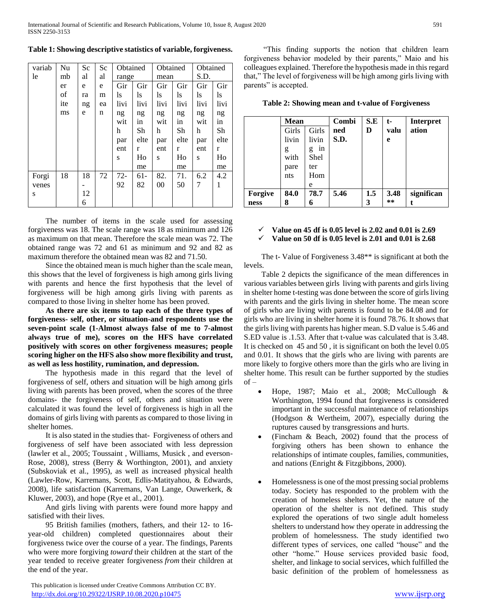| variab | Nu  | Sc | Sc | Obtained |       | Obtained |      | Obtained |      |
|--------|-----|----|----|----------|-------|----------|------|----------|------|
| le     | mb  | al | al | range    |       | mean     |      | S.D.     |      |
|        | er  | e  | e  | Gir      | Gir   | Gir      | Gir  | Gir      | Gir  |
|        | of  | ra | m  | ls       | ls    | ls       | ls   | ls       | ls   |
|        | ite | ng | ea | livi     | livi  | livi     | livi | livi     | livi |
|        | ms  | e  | n  | ng       | ng    | ng       | ng   | ng       | ng   |
|        |     |    |    | wit      | in    | wit      | in   | wit      | in   |
|        |     |    |    | h        | Sh    | h        | Sh   | h        | Sh   |
|        |     |    |    | par      | elte  | par      | elte | par      | elte |
|        |     |    |    | ent      | r     | ent      | r    | ent      | r    |
|        |     |    |    | S        | Ho    | S        | Ho   | S        | Ho   |
|        |     |    |    |          | me    |          | me   |          | me   |
| Forgi  | 18  | 18 | 72 | $72-$    | $61-$ | 82.      | 71.  | 6.2      | 4.2  |
| venes  |     |    |    | 92       | 82    | 00       | 50   | 7        | 1    |
| S      |     | 12 |    |          |       |          |      |          |      |
|        |     | 6  |    |          |       |          |      |          |      |

**Table 1: Showing descriptive statistics of variable, forgiveness.**

 The number of items in the scale used for assessing forgiveness was 18. The scale range was 18 as minimum and 126 as maximum on that mean. Therefore the scale mean was 72. The obtained range was 72 and 61 as minimum and 92 and 82 as maximum therefore the obtained mean was 82 and 71.50.

 Since the obtained mean is much higher than the scale mean, this shows that the level of forgiveness is high among girls living with parents and hence the first hypothesis that the level of forgiveness will be high among girls living with parents as compared to those living in shelter home has been proved.

 **As there are six items to tap each of the three types of forgiveness- self, other, or situation-and respondents use the seven-point scale (1-Almost always false of me to 7-almost always true of me), scores on the HFS have correlated positively with scores on other forgiveness measures; people scoring higher on the HFS also show more flexibility and trust, as well as less hostility, rumination, and depression.**

 The hypothesis made in this regard that the level of forgiveness of self, others and situation will be high among girls living with parents has been proved, when the scores of the three domains- the forgiveness of self, others and situation were calculated it was found the level of forgiveness is high in all the domains of girls living with parents as compared to those living in shelter homes.

 It is also stated in the studies that- Forgiveness of others and forgiveness of self have been associated with less depression (lawler et al., 2005; Toussaint , Williams, Musick , and everson-Rose, 2008), stress (Berry & Worthington, 2001), and anxiety (Subskoviak et al., 1995), as well as increased physical health (Lawler-Row, Karremans, Scott, Edlis-Matityahou, & Edwards, 2008), life satisfaction (Karremans, Van Lange, Ouwerkerk, & Kluwer, 2003), and hope (Rye et al., 2001).

 And girls living with parents were found more happy and satisfied with their lives.

 95 British families (mothers, fathers, and their 12- to 16 year-old children) completed questionnaires about their forgiveness twice over the course of a year. The findings, Parents who were more forgiving *toward* their children at the start of the year tended to receive greater forgiveness *from* their children at the end of the year.

 This publication is licensed under Creative Commons Attribution CC BY. <http://dx.doi.org/10.29322/IJSRP.10.08.2020.p10475> [www.ijsrp.org](http://ijsrp.org/)

 "This finding supports the notion that children learn forgiveness behavior modeled by their parents," Maio and his colleagues explained. Therefore the hypothesis made in this regard that," The level of forgiveness will be high among girls living with parents" is accepted.

**Table 2: Showing mean and t-value of Forgiveness**

|         | <b>Mean</b> |         | Combi | S.E | $t-$ | <b>Interpret</b> |
|---------|-------------|---------|-------|-----|------|------------------|
|         | Girls       | Girls   | ned   | D   | valu | ation            |
|         | livin       | livin   | S.D.  |     | e    |                  |
|         | g           | in<br>g |       |     |      |                  |
|         | with        | Shel    |       |     |      |                  |
|         | pare        | ter     |       |     |      |                  |
|         | nts         | Hom     |       |     |      |                  |
|         |             | e       |       |     |      |                  |
| Forgive | 84.0        | 78.7    | 5.46  | 1.5 | 3.48 | significan       |
| ness    | 8           | 6       |       | 3   | **   |                  |

**Value on 45 df is 0.05 level is 2.02 and 0.01 is 2.69**

 $\checkmark$  Value on 50 df is 0.05 level is 2.01 and 0.01 is 2.68

 The t- Value of Forgiveness 3.48\*\* is significant at both the levels.

 Table 2 depicts the significance of the mean differences in various variables between girls living with parents and girls living in shelter home t-testing was done between the score of girls living with parents and the girls living in shelter home. The mean score of girls who are living with parents is found to be 84.08 and for girls who are living in shelter home it is found 78.76. It shows that the girls living with parents has higher mean. S.D value is 5.46 and S.ED value is .1.53. After that t-value was calculated that is 3.48. It is checked on 45 and 50 , it is significant on both the level 0.05 and 0.01. It shows that the girls who are living with parents are more likely to forgive others more than the girls who are living in shelter home. This result can be further supported by the studies of –

- Hope, 1987; Maio et al., 2008; McCullough & Worthington, 1994 found that forgiveness is considered important in the successful maintenance of relationships (Hodgson & Wertheim, 2007), especially during the ruptures caused by transgressions and hurts.
- (Fincham & Beach, 2002) found that the process of forgiving others has been shown to enhance the relationships of intimate couples, families, communities, and nations (Enright & Fitzgibbons, 2000).
- Homelessness is one of the most pressing social problems today. Society has responded to the problem with the creation of homeless shelters. Yet, the nature of the operation of the shelter is not defined. This study explored the operations of two single adult homeless shelters to understand how they operate in addressing the problem of homelessness. The study identified two different types of services, one called "house" and the other "home." House services provided basic food, shelter, and linkage to social services, which fulfilled the basic definition of the problem of homelessness as